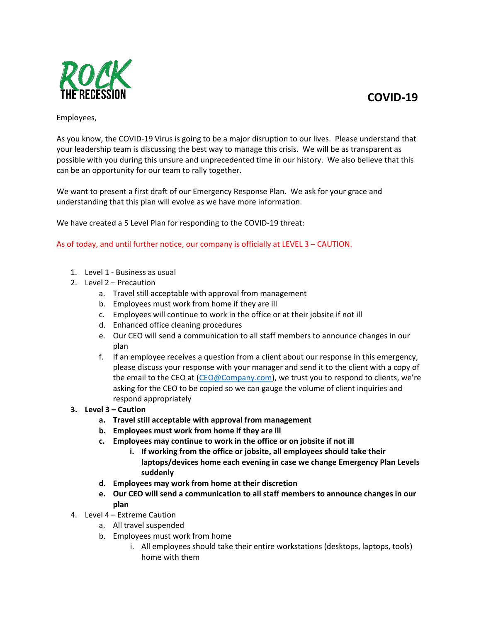**[COVID-19](http://www.vdh.virginia.gov/surveillance-and-investigation/novel-coronavirus/)**



## Employees,

As you know, the COVID-19 Virus is going to be a major disruption to our lives. Please understand that your leadership team is discussing the best way to manage this crisis. We will be as transparent as possible with you during this unsure and unprecedented time in our history. We also believe that this can be an opportunity for our team to rally together.

We want to present a first draft of our Emergency Response Plan. We ask for your grace and understanding that this plan will evolve as we have more information.

We have created a 5 Level Plan for responding to the COVID-19 threat:

As of today, and until further notice, our company is officially at LEVEL 3 – CAUTION.

- 1. Level 1 Business as usual
- 2. Level 2 Precaution
	- a. Travel still acceptable with approval from management
	- b. Employees must work from home if they are ill
	- c. Employees will continue to work in the office or at their jobsite if not ill
	- d. Enhanced office cleaning procedures
	- e. Our CEO will send a communication to all staff members to announce changes in our plan
	- f. If an employee receives a question from a client about our response in this emergency, please discuss your response with your manager and send it to the client with a copy of the email to the CEO at [\(CEO@Company.com\)](mailto:CEO@Company.com), we trust you to respond to clients, we're asking for the CEO to be copied so we can gauge the volume of client inquiries and respond appropriately
- **3. Level 3 – Caution**
	- **a. Travel still acceptable with approval from management**
	- **b. Employees must work from home if they are ill**
	- **c. Employees may continue to work in the office or on jobsite if not ill**
		- **i. If working from the office or jobsite, all employees should take their laptops/devices home each evening in case we change Emergency Plan Levels suddenly**
	- **d. Employees may work from home at their discretion**
	- **e. Our CEO will send a communication to all staff members to announce changes in our plan**
- 4. Level 4 Extreme Caution
	- a. All travel suspended
	- b. Employees must work from home
		- i. All employees should take their entire workstations (desktops, laptops, tools) home with them